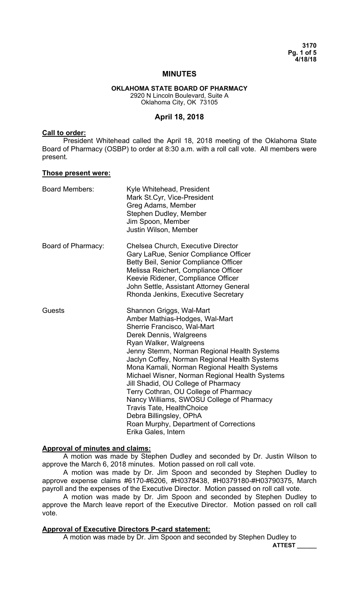**3170 Pg. 1 of 5 4/18/18** 

### **MINUTES**

#### **OKLAHOMA STATE BOARD OF PHARMACY**  2920 N Lincoln Boulevard, Suite A Oklahoma City, OK 73105

### **April 18, 2018**

### **Call to order:**

 President Whitehead called the April 18, 2018 meeting of the Oklahoma State Board of Pharmacy (OSBP) to order at 8:30 a.m. with a roll call vote. All members were present.

#### **Those present were:**

| <b>Board Members:</b> | Kyle Whitehead, President<br>Mark St.Cyr, Vice-President<br>Greg Adams, Member<br>Stephen Dudley, Member<br>Jim Spoon, Member<br>Justin Wilson, Member                                                                                                                                                                                                                                                                                                                                                                                                                                                       |
|-----------------------|--------------------------------------------------------------------------------------------------------------------------------------------------------------------------------------------------------------------------------------------------------------------------------------------------------------------------------------------------------------------------------------------------------------------------------------------------------------------------------------------------------------------------------------------------------------------------------------------------------------|
| Board of Pharmacy:    | Chelsea Church, Executive Director<br>Gary LaRue, Senior Compliance Officer<br>Betty Beil, Senior Compliance Officer<br>Melissa Reichert, Compliance Officer<br>Keevie Ridener, Compliance Officer<br>John Settle, Assistant Attorney General<br>Rhonda Jenkins, Executive Secretary                                                                                                                                                                                                                                                                                                                         |
| <b>Guests</b>         | Shannon Griggs, Wal-Mart<br>Amber Mathias-Hodges, Wal-Mart<br>Sherrie Francisco, Wal-Mart<br>Derek Dennis, Walgreens<br>Ryan Walker, Walgreens<br>Jenny Stemm, Norman Regional Health Systems<br>Jaclyn Coffey, Norman Regional Health Systems<br>Mona Kamali, Norman Regional Health Systems<br>Michael Wisner, Norman Regional Health Systems<br>Jill Shadid, OU College of Pharmacy<br>Terry Cothran, OU College of Pharmacy<br>Nancy Williams, SWOSU College of Pharmacy<br><b>Travis Tate, HealthChoice</b><br>Debra Billingsley, OPhA<br>Roan Murphy, Department of Corrections<br>Erika Gales, Intern |

### **Approval of minutes and claims:**

 A motion was made by Stephen Dudley and seconded by Dr. Justin Wilson to approve the March 6, 2018 minutes. Motion passed on roll call vote.

 A motion was made by Dr. Jim Spoon and seconded by Stephen Dudley to approve expense claims #6170-#6206, #H0378438, #H0379180-#H03790375, March payroll and the expenses of the Executive Director. Motion passed on roll call vote.

 A motion was made by Dr. Jim Spoon and seconded by Stephen Dudley to approve the March leave report of the Executive Director. Motion passed on roll call vote.

### **Approval of Executive Directors P-card statement:**

A motion was made by Dr. Jim Spoon and seconded by Stephen Dudley to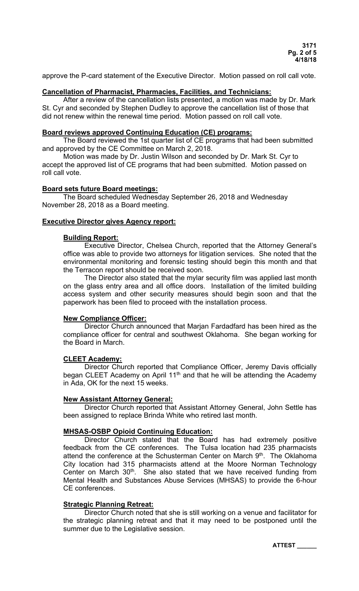approve the P-card statement of the Executive Director. Motion passed on roll call vote.

## **Cancellation of Pharmacist, Pharmacies, Facilities, and Technicians:**

 After a review of the cancellation lists presented, a motion was made by Dr. Mark St. Cyr and seconded by Stephen Dudley to approve the cancellation list of those that did not renew within the renewal time period. Motion passed on roll call vote.

### **Board reviews approved Continuing Education (CE) programs:**

The Board reviewed the 1st quarter list of CE programs that had been submitted and approved by the CE Committee on March 2, 2018.

Motion was made by Dr. Justin Wilson and seconded by Dr. Mark St. Cyr to accept the approved list of CE programs that had been submitted. Motion passed on roll call vote.

### **Board sets future Board meetings:**

The Board scheduled Wednesday September 26, 2018 and Wednesday November 28, 2018 as a Board meeting.

## **Executive Director gives Agency report:**

#### **Building Report:**

 Executive Director, Chelsea Church, reported that the Attorney General's office was able to provide two attorneys for litigation services. She noted that the environmental monitoring and forensic testing should begin this month and that the Terracon report should be received soon.

 The Director also stated that the mylar security film was applied last month on the glass entry area and all office doors. Installation of the limited building access system and other security measures should begin soon and that the paperwork has been filed to proceed with the installation process.

### **New Compliance Officer:**

 Director Church announced that Marjan Fardadfard has been hired as the compliance officer for central and southwest Oklahoma. She began working for the Board in March.

## **CLEET Academy:**

 Director Church reported that Compliance Officer, Jeremy Davis officially began CLEET Academy on April  $11<sup>th</sup>$  and that he will be attending the Academy in Ada, OK for the next 15 weeks.

### **New Assistant Attorney General:**

 Director Church reported that Assistant Attorney General, John Settle has been assigned to replace Brinda White who retired last month.

### **MHSAS-OSBP Opioid Continuing Education:**

 Director Church stated that the Board has had extremely positive feedback from the CE conferences. The Tulsa location had 235 pharmacists attend the conference at the Schusterman Center on March 9<sup>th</sup>. The Oklahoma City location had 315 pharmacists attend at the Moore Norman Technology Center on March  $30<sup>th</sup>$ . She also stated that we have received funding from Mental Health and Substances Abuse Services (MHSAS) to provide the 6-hour CE conferences.

### **Strategic Planning Retreat:**

 Director Church noted that she is still working on a venue and facilitator for the strategic planning retreat and that it may need to be postponed until the summer due to the Legislative session.

**ATTEST \_\_\_\_\_\_**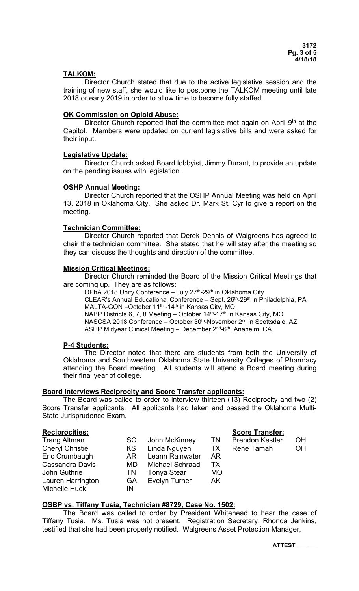## **TALKOM:**

 Director Church stated that due to the active legislative session and the training of new staff, she would like to postpone the TALKOM meeting until late 2018 or early 2019 in order to allow time to become fully staffed.

## **OK Commission on Opioid Abuse:**

Director Church reported that the committee met again on April  $9<sup>th</sup>$  at the Capitol. Members were updated on current legislative bills and were asked for their input.

## **Legislative Update:**

 Director Church asked Board lobbyist, Jimmy Durant, to provide an update on the pending issues with legislation.

## **OSHP Annual Meeting:**

 Director Church reported that the OSHP Annual Meeting was held on April 13, 2018 in Oklahoma City. She asked Dr. Mark St. Cyr to give a report on the meeting.

## **Technician Committee:**

 Director Church reported that Derek Dennis of Walgreens has agreed to chair the technician committee. She stated that he will stay after the meeting so they can discuss the thoughts and direction of the committee.

## **Mission Critical Meetings:**

 Director Church reminded the Board of the Mission Critical Meetings that are coming up. They are as follows:

OPhA 2018 Unify Conference - July 27<sup>th</sup>-29<sup>th</sup> in Oklahoma City

CLEAR's Annual Educational Conference - Sept. 26<sup>th</sup>-29<sup>th</sup> in Philadelphia, PA MALTA-GON –October 11<sup>th</sup> -14<sup>th</sup> in Kansas City, MO

NABP Districts 6, 7, 8 Meeting – October 14<sup>th</sup>-17<sup>th</sup> in Kansas City, MO NASCSA 2018 Conference – October 30<sup>th</sup>-November 2<sup>nd</sup> in Scottsdale, AZ ASHP Midyear Clinical Meeting - December 2<sup>nd</sup>-6<sup>th</sup>, Anaheim, CA

# **P-4 Students:**

The Director noted that there are students from both the University of Oklahoma and Southwestern Oklahoma State University Colleges of Pharmacy attending the Board meeting. All students will attend a Board meeting during their final year of college.

## **Board interviews Reciprocity and Score Transfer applicants:**

 The Board was called to order to interview thirteen (13) Reciprocity and two (2) Score Transfer applicants. All applicants had taken and passed the Oklahoma Multi-State Jurisprudence Exam.

## **Reciprocities: Score Transfer:**

| noviprovitivo.         |     |                      |           | OUVIV IIUIUIVII        |           |
|------------------------|-----|----------------------|-----------|------------------------|-----------|
| <b>Trang Altman</b>    | SC. | John McKinney        | TN        | <b>Brendon Kestler</b> | OH        |
| <b>Cheryl Christie</b> | KS  | Linda Nguyen         | TX.       | Rene Tamah             | <b>OH</b> |
| Eric Crumbaugh         | AR. | Leann Rainwater      | AR        |                        |           |
| <b>Cassandra Davis</b> | MD. | Michael Schraad      | TХ        |                        |           |
| John Guthrie           | TN  | <b>Tonya Stear</b>   | <b>MO</b> |                        |           |
| Lauren Harrington      | GA  | <b>Evelyn Turner</b> | AK        |                        |           |
| Michelle Huck          | IN  |                      |           |                        |           |

## **OSBP vs. Tiffany Tusia, Technician #8729, Case No. 1502:**

 The Board was called to order by President Whitehead to hear the case of Tiffany Tusia. Ms. Tusia was not present. Registration Secretary, Rhonda Jenkins, testified that she had been properly notified. Walgreens Asset Protection Manager,

**ATTEST \_\_\_\_\_\_**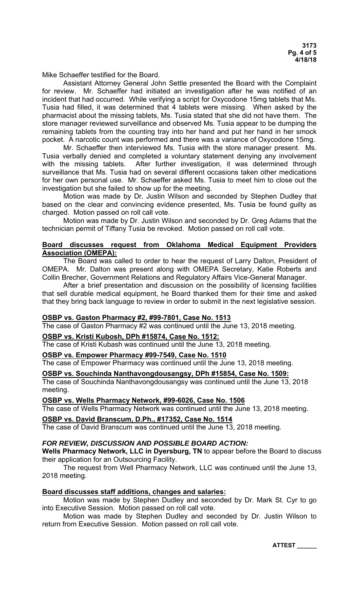Mike Schaeffer testified for the Board.

 Assistant Attorney General John Settle presented the Board with the Complaint for review. Mr. Schaeffer had initiated an investigation after he was notified of an incident that had occurred. While verifying a script for Oxycodone 15mg tablets that Ms. Tusia had filled, it was determined that 4 tablets were missing. When asked by the pharmacist about the missing tablets, Ms. Tusia stated that she did not have them. The store manager reviewed surveillance and observed Ms. Tusia appear to be dumping the remaining tablets from the counting tray into her hand and put her hand in her smock pocket. A narcotic count was performed and there was a variance of Oxycodone 15mg.

 Mr. Schaeffer then interviewed Ms. Tusia with the store manager present. Ms. Tusia verbally denied and completed a voluntary statement denying any involvement with the missing tablets. After further investigation, it was determined through surveillance that Ms. Tusia had on several different occasions taken other medications for her own personal use. Mr. Schaeffer asked Ms. Tusia to meet him to close out the investigation but she failed to show up for the meeting.

 Motion was made by Dr. Justin Wilson and seconded by Stephen Dudley that based on the clear and convincing evidence presented, Ms. Tusia be found guilty as charged. Motion passed on roll call vote.

 Motion was made by Dr. Justin Wilson and seconded by Dr. Greg Adams that the technician permit of Tiffany Tusia be revoked. Motion passed on roll call vote.

## **Board discusses request from Oklahoma Medical Equipment Providers Association (OMEPA):**

 The Board was called to order to hear the request of Larry Dalton, President of OMEPA. Mr. Dalton was present along with OMEPA Secretary, Katie Roberts and Collin Brecher, Government Relations and Regulatory Affairs Vice-General Manager.

 After a brief presentation and discussion on the possibility of licensing facilities that sell durable medical equipment, he Board thanked them for their time and asked that they bring back language to review in order to submit in the next legislative session.

## **OSBP vs. Gaston Pharmacy #2, #99-7801, Case No. 1513**

The case of Gaston Pharmacy #2 was continued until the June 13, 2018 meeting.

### **OSBP vs. Kristi Kubosh, DPh #15874, Case No. 1512:**

The case of Kristi Kubash was continued until the June 13, 2018 meeting.

## **OSBP vs. Empower Pharmacy #99-7549, Case No. 1510**

The case of Empower Pharmacy was continued until the June 13, 2018 meeting.

### **OSBP vs. Souchinda Nanthavongdousangsy, DPh #15854, Case No. 1509:**

The case of Souchinda Nanthavongdousangsy was continued until the June 13, 2018 meeting.

# **OSBP vs. Wells Pharmacy Network, #99-6026, Case No. 1506**

The case of Wells Pharmacy Network was continued until the June 13, 2018 meeting.

### **OSBP vs. David Branscum, D.Ph., #17352, Case No. 1514**

The case of David Branscum was continued until the June 13, 2018 meeting.

### *FOR REVIEW, DISCUSSION AND POSSIBLE BOARD ACTION:*

**Wells Pharmacy Network, LLC in Dyersburg, TN** to appear before the Board to discuss their application for an Outsourcing Facility.

 The request from Well Pharmacy Network, LLC was continued until the June 13, 2018 meeting.

### **Board discusses staff additions, changes and salaries:**

 Motion was made by Stephen Dudley and seconded by Dr. Mark St. Cyr to go into Executive Session. Motion passed on roll call vote.

 Motion was made by Stephen Dudley and seconded by Dr. Justin Wilson to return from Executive Session. Motion passed on roll call vote.